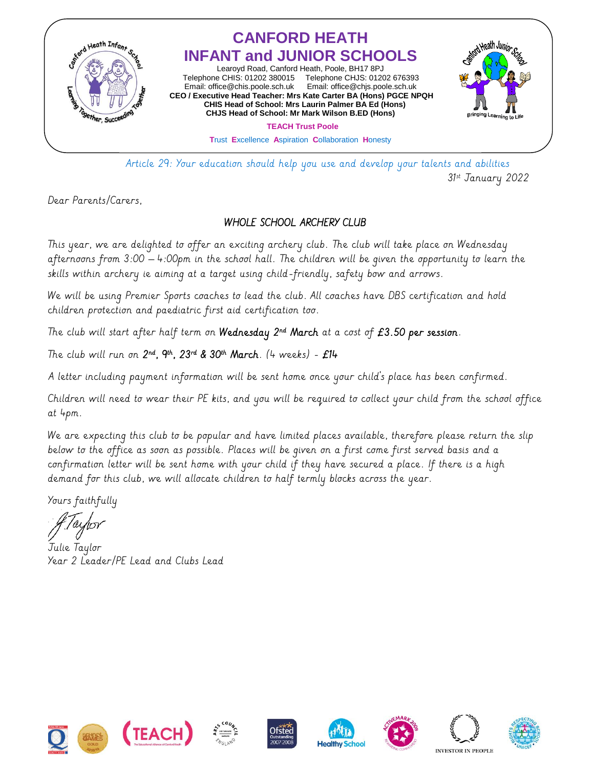

 Article 29: Your education should help you use and develop your talents and abilities 31st January 2022

Dear Parents/Carers,

## WHOLE SCHOOL ARCHERY CLUB

This year, we are delighted to offer an exciting archery club. The club will take place on Wednesday afternoons from 3:00 – 4:00pm in the school hall. The children will be given the opportunity to learn the skills within archery ie aiming at a target using child-friendly, safety bow and arrows.

We will be using Premier Sports coaches to lead the club. All coaches have DBS certification and hold children protection and paediatric first aid certification too.

The club will start after half term on **Wednesday**  $2^{nd}$  **March** at a cost of  $E3.50$  per session.

The club will run on  $2^{nd}$ ,  $9^{th}$ ,  $23^{rd}$  &  $30^{th}$  March. (4 weeks) -  $E14$ 

A letter including payment information will be sent home once your child's place has been confirmed.

Children will need to wear their PE kits, and you will be required to collect your child from the school office at 4pm.

We are expecting this club to be popular and have limited places available, therefore please return the slip below to the office as soon as possible. Places will be given on a first come first served basis and a confirmation letter will be sent home with your child if they have secured a place. If there is a high demand for this club, we will allocate children to half termly blocks across the year.

Yours faithfully

Julie Taylor Year 2 Leader/PE Lead and Clubs Lead